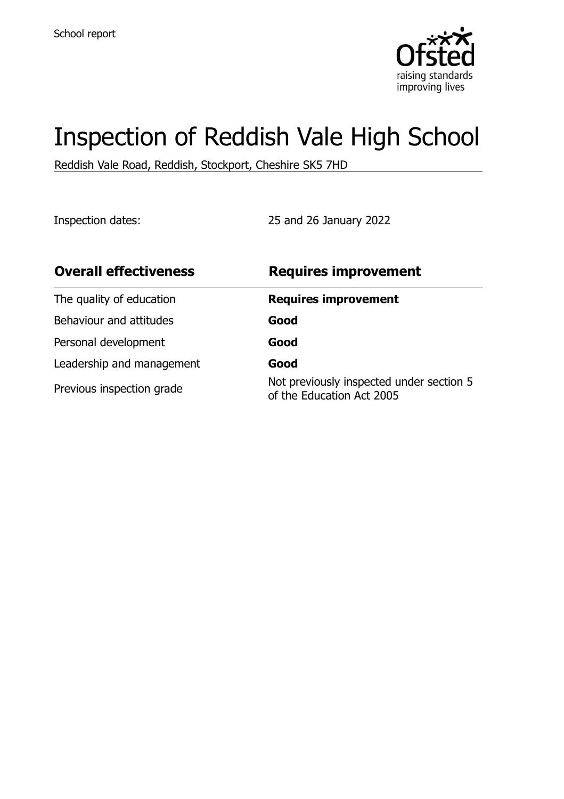

# Inspection of Reddish Vale High School

Reddish Vale Road, Reddish, Stockport, Cheshire SK5 7HD

Inspection dates: 25 and 26 January 2022

| <b>Overall effectiveness</b> | <b>Requires improvement</b>                                           |
|------------------------------|-----------------------------------------------------------------------|
| The quality of education     | <b>Requires improvement</b>                                           |
| Behaviour and attitudes      | Good                                                                  |
| Personal development         | Good                                                                  |
| Leadership and management    | Good                                                                  |
| Previous inspection grade    | Not previously inspected under section 5<br>of the Education Act 2005 |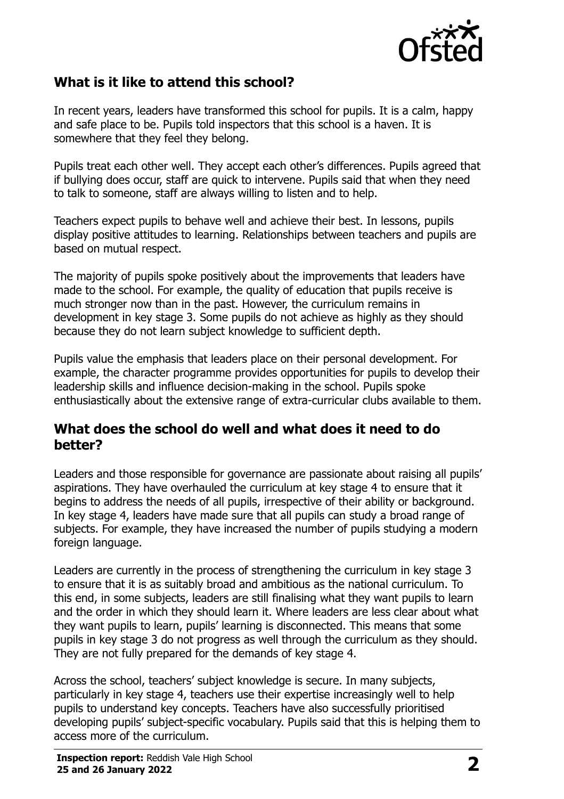

### **What is it like to attend this school?**

In recent years, leaders have transformed this school for pupils. It is a calm, happy and safe place to be. Pupils told inspectors that this school is a haven. It is somewhere that they feel they belong.

Pupils treat each other well. They accept each other's differences. Pupils agreed that if bullying does occur, staff are quick to intervene. Pupils said that when they need to talk to someone, staff are always willing to listen and to help.

Teachers expect pupils to behave well and achieve their best. In lessons, pupils display positive attitudes to learning. Relationships between teachers and pupils are based on mutual respect.

The majority of pupils spoke positively about the improvements that leaders have made to the school. For example, the quality of education that pupils receive is much stronger now than in the past. However, the curriculum remains in development in key stage 3. Some pupils do not achieve as highly as they should because they do not learn subject knowledge to sufficient depth.

Pupils value the emphasis that leaders place on their personal development. For example, the character programme provides opportunities for pupils to develop their leadership skills and influence decision-making in the school. Pupils spoke enthusiastically about the extensive range of extra-curricular clubs available to them.

#### **What does the school do well and what does it need to do better?**

Leaders and those responsible for governance are passionate about raising all pupils' aspirations. They have overhauled the curriculum at key stage 4 to ensure that it begins to address the needs of all pupils, irrespective of their ability or background. In key stage 4, leaders have made sure that all pupils can study a broad range of subjects. For example, they have increased the number of pupils studying a modern foreign language.

Leaders are currently in the process of strengthening the curriculum in key stage 3 to ensure that it is as suitably broad and ambitious as the national curriculum. To this end, in some subjects, leaders are still finalising what they want pupils to learn and the order in which they should learn it. Where leaders are less clear about what they want pupils to learn, pupils' learning is disconnected. This means that some pupils in key stage 3 do not progress as well through the curriculum as they should. They are not fully prepared for the demands of key stage 4.

Across the school, teachers' subject knowledge is secure. In many subjects, particularly in key stage 4, teachers use their expertise increasingly well to help pupils to understand key concepts. Teachers have also successfully prioritised developing pupils' subject-specific vocabulary. Pupils said that this is helping them to access more of the curriculum.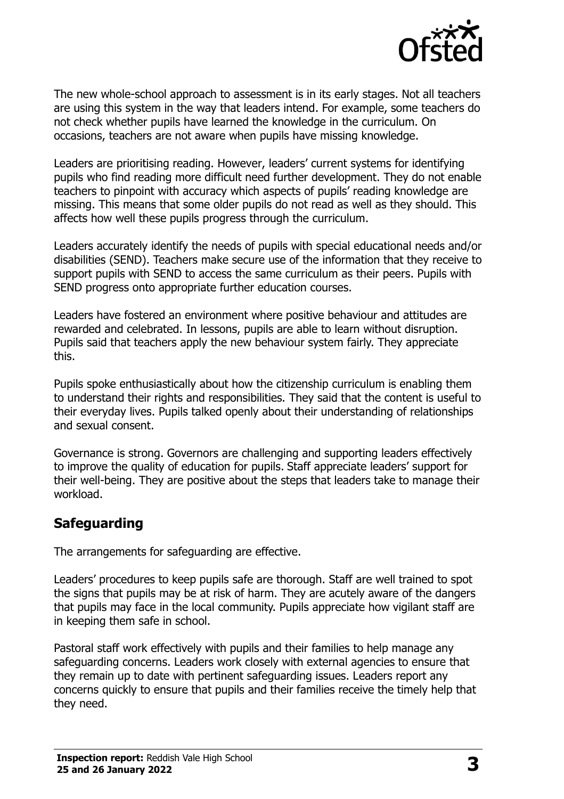

The new whole-school approach to assessment is in its early stages. Not all teachers are using this system in the way that leaders intend. For example, some teachers do not check whether pupils have learned the knowledge in the curriculum. On occasions, teachers are not aware when pupils have missing knowledge.

Leaders are prioritising reading. However, leaders' current systems for identifying pupils who find reading more difficult need further development. They do not enable teachers to pinpoint with accuracy which aspects of pupils' reading knowledge are missing. This means that some older pupils do not read as well as they should. This affects how well these pupils progress through the curriculum.

Leaders accurately identify the needs of pupils with special educational needs and/or disabilities (SEND). Teachers make secure use of the information that they receive to support pupils with SEND to access the same curriculum as their peers. Pupils with SEND progress onto appropriate further education courses.

Leaders have fostered an environment where positive behaviour and attitudes are rewarded and celebrated. In lessons, pupils are able to learn without disruption. Pupils said that teachers apply the new behaviour system fairly. They appreciate this.

Pupils spoke enthusiastically about how the citizenship curriculum is enabling them to understand their rights and responsibilities. They said that the content is useful to their everyday lives. Pupils talked openly about their understanding of relationships and sexual consent.

Governance is strong. Governors are challenging and supporting leaders effectively to improve the quality of education for pupils. Staff appreciate leaders' support for their well-being. They are positive about the steps that leaders take to manage their workload.

#### **Safeguarding**

The arrangements for safeguarding are effective.

Leaders' procedures to keep pupils safe are thorough. Staff are well trained to spot the signs that pupils may be at risk of harm. They are acutely aware of the dangers that pupils may face in the local community. Pupils appreciate how vigilant staff are in keeping them safe in school.

Pastoral staff work effectively with pupils and their families to help manage any safeguarding concerns. Leaders work closely with external agencies to ensure that they remain up to date with pertinent safeguarding issues. Leaders report any concerns quickly to ensure that pupils and their families receive the timely help that they need.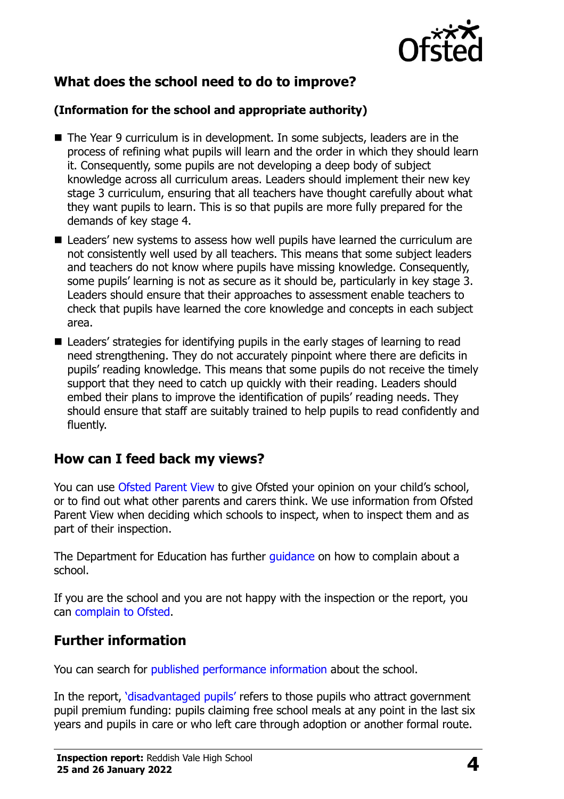

## **What does the school need to do to improve?**

#### **(Information for the school and appropriate authority)**

- The Year 9 curriculum is in development. In some subjects, leaders are in the process of refining what pupils will learn and the order in which they should learn it. Consequently, some pupils are not developing a deep body of subject knowledge across all curriculum areas. Leaders should implement their new key stage 3 curriculum, ensuring that all teachers have thought carefully about what they want pupils to learn. This is so that pupils are more fully prepared for the demands of key stage 4.
- Leaders' new systems to assess how well pupils have learned the curriculum are not consistently well used by all teachers. This means that some subject leaders and teachers do not know where pupils have missing knowledge. Consequently, some pupils' learning is not as secure as it should be, particularly in key stage 3. Leaders should ensure that their approaches to assessment enable teachers to check that pupils have learned the core knowledge and concepts in each subject area.
- Leaders' strategies for identifying pupils in the early stages of learning to read need strengthening. They do not accurately pinpoint where there are deficits in pupils' reading knowledge. This means that some pupils do not receive the timely support that they need to catch up quickly with their reading. Leaders should embed their plans to improve the identification of pupils' reading needs. They should ensure that staff are suitably trained to help pupils to read confidently and fluently.

#### **How can I feed back my views?**

You can use [Ofsted Parent View](http://parentview.ofsted.gov.uk/) to give Ofsted your opinion on your child's school, or to find out what other parents and carers think. We use information from Ofsted Parent View when deciding which schools to inspect, when to inspect them and as part of their inspection.

The Department for Education has further quidance on how to complain about a school.

If you are the school and you are not happy with the inspection or the report, you can [complain to Ofsted.](http://www.gov.uk/complain-ofsted-report)

### **Further information**

You can search for [published performance information](http://www.compare-school-performance.service.gov.uk/) about the school.

In the report, '[disadvantaged pupils](http://www.gov.uk/guidance/pupil-premium-information-for-schools-and-alternative-provision-settings)' refers to those pupils who attract government pupil premium funding: pupils claiming free school meals at any point in the last six years and pupils in care or who left care through adoption or another formal route.

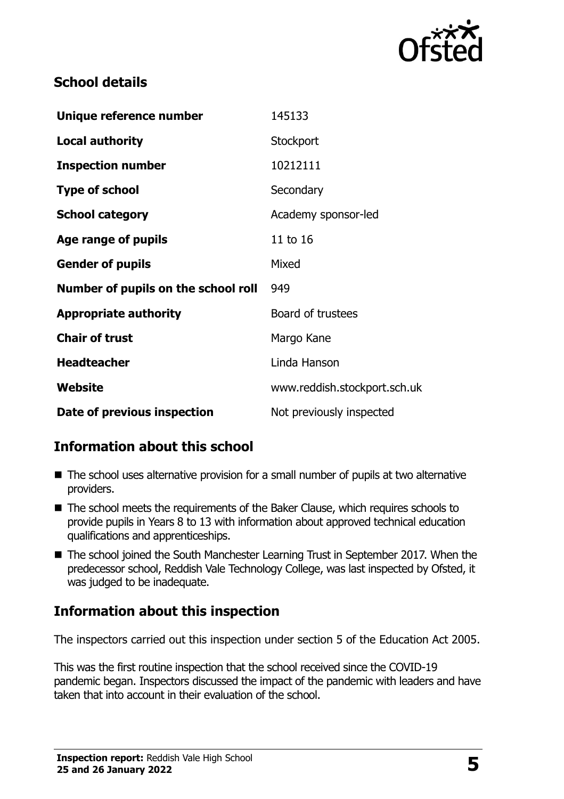

#### **School details**

| Unique reference number             | 145133                       |
|-------------------------------------|------------------------------|
| <b>Local authority</b>              | Stockport                    |
| <b>Inspection number</b>            | 10212111                     |
| <b>Type of school</b>               | Secondary                    |
| <b>School category</b>              | Academy sponsor-led          |
| Age range of pupils                 | 11 to 16                     |
| <b>Gender of pupils</b>             | Mixed                        |
| Number of pupils on the school roll | 949                          |
| <b>Appropriate authority</b>        | Board of trustees            |
| <b>Chair of trust</b>               | Margo Kane                   |
| <b>Headteacher</b>                  | Linda Hanson                 |
| Website                             | www.reddish.stockport.sch.uk |
| Date of previous inspection         | Not previously inspected     |

### **Information about this school**

- The school uses alternative provision for a small number of pupils at two alternative providers.
- The school meets the requirements of the Baker Clause, which requires schools to provide pupils in Years 8 to 13 with information about approved technical education qualifications and apprenticeships.
- The school joined the South Manchester Learning Trust in September 2017. When the predecessor school, Reddish Vale Technology College, was last inspected by Ofsted, it was judged to be inadequate.

# **Information about this inspection**

The inspectors carried out this inspection under section 5 of the Education Act 2005.

This was the first routine inspection that the school received since the COVID-19 pandemic began. Inspectors discussed the impact of the pandemic with leaders and have taken that into account in their evaluation of the school.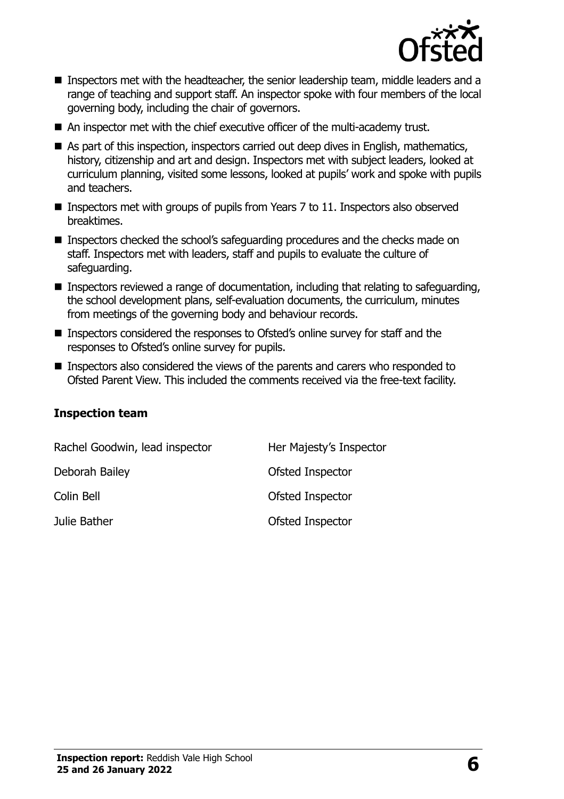

- Inspectors met with the headteacher, the senior leadership team, middle leaders and a range of teaching and support staff. An inspector spoke with four members of the local governing body, including the chair of governors.
- An inspector met with the chief executive officer of the multi-academy trust.
- As part of this inspection, inspectors carried out deep dives in English, mathematics, history, citizenship and art and design. Inspectors met with subject leaders, looked at curriculum planning, visited some lessons, looked at pupils' work and spoke with pupils and teachers.
- Inspectors met with groups of pupils from Years 7 to 11. Inspectors also observed breaktimes.
- Inspectors checked the school's safeguarding procedures and the checks made on staff. Inspectors met with leaders, staff and pupils to evaluate the culture of safeguarding.
- Inspectors reviewed a range of documentation, including that relating to safeguarding, the school development plans, self-evaluation documents, the curriculum, minutes from meetings of the governing body and behaviour records.
- Inspectors considered the responses to Ofsted's online survey for staff and the responses to Ofsted's online survey for pupils.
- Inspectors also considered the views of the parents and carers who responded to Ofsted Parent View. This included the comments received via the free-text facility.

#### **Inspection team**

| Rachel Goodwin, lead inspector | Her Majesty's Inspector |
|--------------------------------|-------------------------|
| Deborah Bailey                 | Ofsted Inspector        |
| Colin Bell                     | Ofsted Inspector        |
| Julie Bather                   | Ofsted Inspector        |